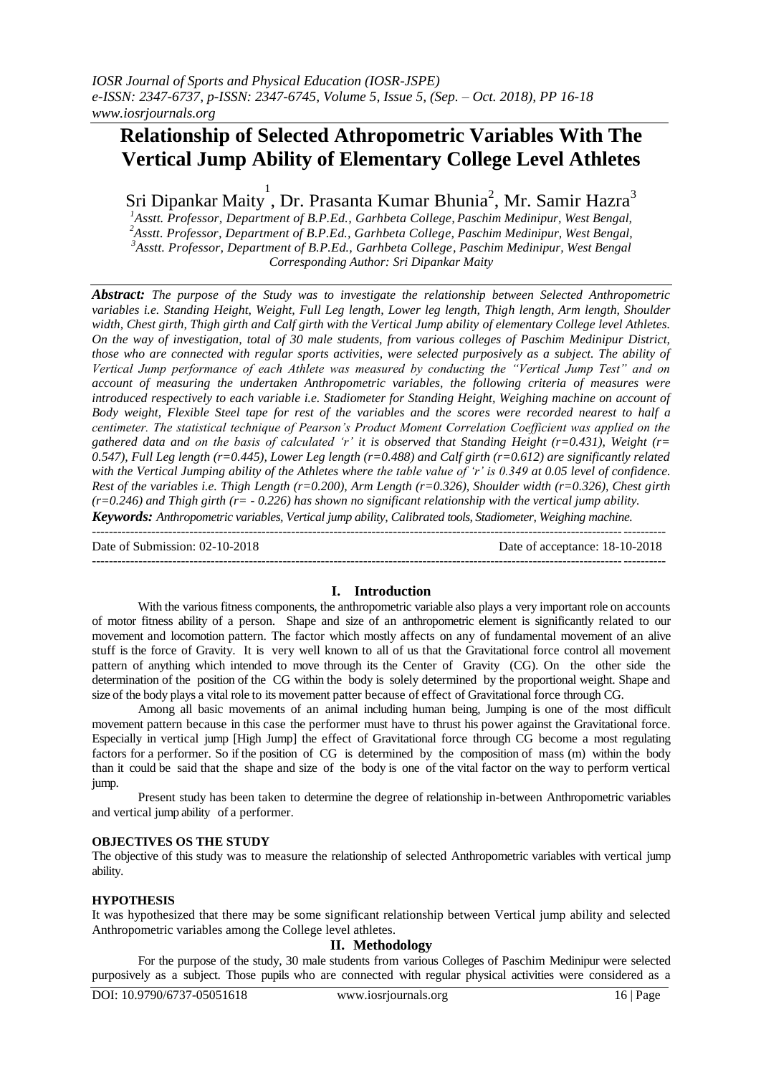# **Relationship of Selected Athropometric Variables With The Vertical Jump Ability of Elementary College Level Athletes**

Sri Dipankar Maity  $^{1}$ , Dr. Prasanta Kumar Bhunia $^{2}$ , Mr. Samir Hazra $^{3}$ 

 *Asstt. Professor, Department of B.P.Ed., Garhbeta College, Paschim Medinipur, West Bengal, Asstt. Professor, Department of B.P.Ed., Garhbeta College, Paschim Medinipur, West Bengal, Asstt. Professor, Department of B.P.Ed., Garhbeta College, Paschim Medinipur, West Bengal Corresponding Author: Sri Dipankar Maity*

*Abstract: The purpose of the Study was to investigate the relationship between Selected Anthropometric variables i.e. Standing Height, Weight, Full Leg length, Lower leg length, Thigh length, Arm length, Shoulder width, Chest girth, Thigh girth and Calf girth with the Vertical Jump ability of elementary College level Athletes. On the way of investigation, total of 30 male students, from various colleges of Paschim Medinipur District, those who are connected with regular sports activities, were selected purposively as a subject. The ability of Vertical Jump performance of each Athlete was measured by conducting the "Vertical Jump Test" and on account of measuring the undertaken Anthropometric variables, the following criteria of measures were introduced respectively to each variable i.e. Stadiometer for Standing Height, Weighing machine on account of Body weight, Flexible Steel tape for rest of the variables and the scores were recorded nearest to half a centimeter. The statistical technique of Pearson"s Product Moment Correlation Coefficient was applied on the gathered data and on the basis of calculated "r" it is observed that Standing Height (r=0.431), Weight (r= 0.547), Full Leg length (r=0.445), Lower Leg length (r=0.488) and Calf girth (r=0.612) are significantly related with the Vertical Jumping ability of the Athletes where the table value of "r" is 0.349 at 0.05 level of confidence. Rest of the variables i.e. Thigh Length (r=0.200), Arm Length (r=0.326), Shoulder width (r=0.326), Chest girth (r=0.246) and Thigh girth (r= - 0.226) has shown no significant relationship with the vertical jump ability. Keywords: Anthropometric variables, Vertical jump ability, Calibrated tools, Stadiometer, Weighing machine.*  ---------------------------------------------------------------------------------------------------------------------------------------

Date of Submission: 02-10-2018 Date of acceptance: 18-10-2018

## **I. Introduction**

---------------------------------------------------------------------------------------------------------------------------------------

With the various fitness components, the anthropometric variable also plays a very important role on accounts of motor fitness ability of a person. Shape and size of an anthropometric element is significantly related to our movement and locomotion pattern. The factor which mostly affects on any of fundamental movement of an alive stuff is the force of Gravity. It is very well known to all of us that the Gravitational force control all movement pattern of anything which intended to move through its the Center of Gravity (CG). On the other side the determination of the position of the CG within the body is solely determined by the proportional weight. Shape and size of the body plays a vital role to its movement patter because of effect of Gravitational force through CG.

Among all basic movements of an animal including human being, Jumping is one of the most difficult movement pattern because in this case the performer must have to thrust his power against the Gravitational force. Especially in vertical jump [High Jump] the effect of Gravitational force through CG become a most regulating factors for a performer. So if the position of CG is determined by the composition of mass (m) within the body than it could be said that the shape and size of the body is one of the vital factor on the way to perform vertical jump.

Present study has been taken to determine the degree of relationship in-between Anthropometric variables and vertical jump ability of a performer.

#### **OBJECTIVES OS THE STUDY**

The objective of this study was to measure the relationship of selected Anthropometric variables with vertical jump ability.

#### **HYPOTHESIS**

It was hypothesized that there may be some significant relationship between Vertical jump ability and selected Anthropometric variables among the College level athletes.

## **II. Methodology**

For the purpose of the study, 30 male students from various Colleges of Paschim Medinipur were selected purposively as a subject. Those pupils who are connected with regular physical activities were considered as a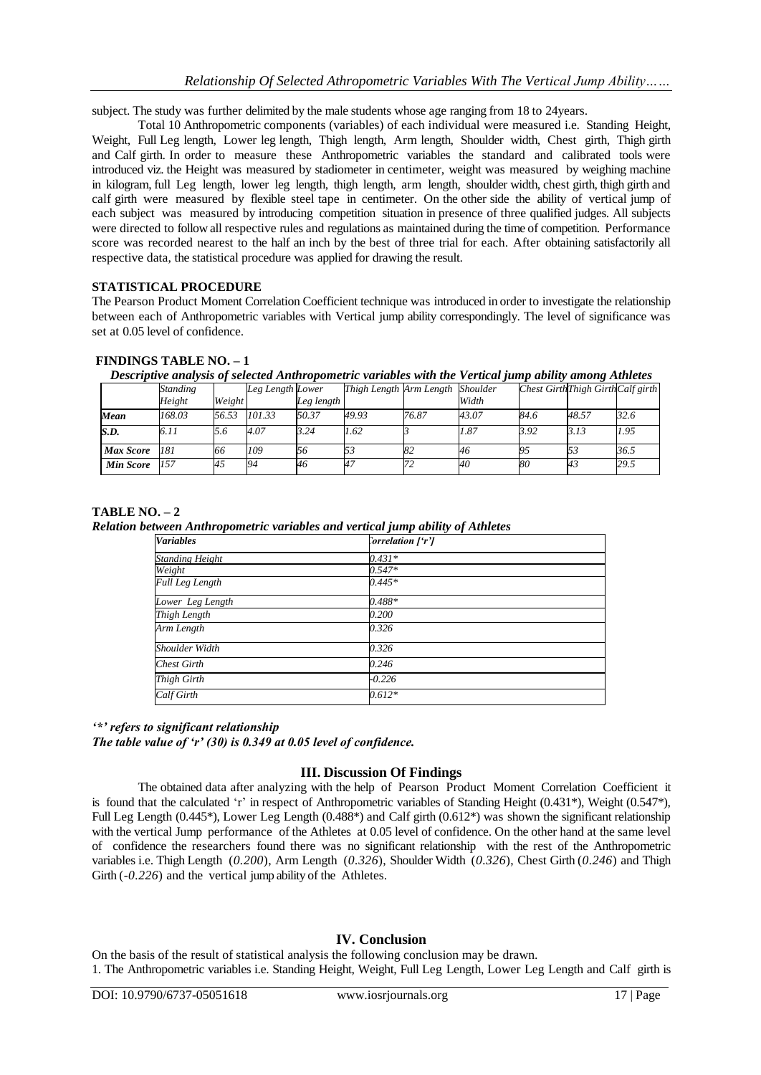subject. The study was further delimited by the male students whose age ranging from 18 to 24years.

Total 10 Anthropometric components (variables) of each individual were measured i.e. Standing Height, Weight, Full Leg length, Lower leg length, Thigh length, Arm length, Shoulder width, Chest girth, Thigh girth and Calf girth. In order to measure these Anthropometric variables the standard and calibrated tools were introduced viz. the Height was measured by stadiometer in centimeter, weight was measured by weighing machine in kilogram, full Leg length, lower leg length, thigh length, arm length, shoulder width, chest girth, thigh girth and calf girth were measured by flexible steel tape in centimeter. On the other side the ability of vertical jump of each subject was measured by introducing competition situation in presence of three qualified judges. All subjects were directed to follow all respective rules and regulations as maintained during the time of competition. Performance score was recorded nearest to the half an inch by the best of three trial for each. After obtaining satisfactorily all respective data, the statistical procedure was applied for drawing the result.

## **STATISTICAL PROCEDURE**

The Pearson Product Moment Correlation Coefficient technique was introduced in order to investigate the relationship between each of Anthropometric variables with Vertical jump ability correspondingly. The level of significance was set at 0.05 level of confidence.

## **FINDINGS TABLE NO. – 1**

| Descriptive analysis of selected Anthropometric variables with the Vertical jump ability among Athletes |  |  |
|---------------------------------------------------------------------------------------------------------|--|--|
|                                                                                                         |  |  |

|                  | <b>Standing</b> |        | Leg Length Lower |            | Thigh Length Arm Length Shoulder |       |       |      | Chest GirthThigh GirthCalf girth |      |
|------------------|-----------------|--------|------------------|------------|----------------------------------|-------|-------|------|----------------------------------|------|
|                  | Height          | Weight |                  | Leg length |                                  |       | Width |      |                                  |      |
| Mean             | 168.03          | 56.53  | 101.33           | 50.37      | 49.93                            | 76.87 | 43.07 | 84.6 | 48.57                            | 32.6 |
| S.D.             | 6.11            | 5.6    | 4.07             | 3.24       | 1.62                             |       | 1.87  | 3.92 | 3.13                             | 1.95 |
| <b>Max Score</b> | 181             | 66     | 109              | 56         |                                  | 82    | 46    | 9.4  |                                  | 36.5 |
| <b>Min Score</b> | 157             | 45     | 94               | 46         |                                  |       | 40    | 80   | 45                               | 29.5 |

#### **TABLE NO. – 2**

*Relation between Anthropometric variables and vertical jump ability of Athletes*

| <b>Variables</b>       | [orrelation ['r'] |
|------------------------|-------------------|
| <b>Standing Height</b> | $0.431*$          |
| Weight                 | $0.547*$          |
| Full Leg Length        | $0.445*$          |
| Lower Leg Length       | 0.488*            |
| Thigh Length           | 0.200             |
| Arm Length             | 0.326             |
| Shoulder Width         | 0.326             |
| <b>Chest Girth</b>     | 0.246             |
| Thigh Girth            | $-0.226$          |
| Calf Girth             | $0.612*$          |

#### *'\*' refers to significant relationship*

*The table value of 'r' (30) is 0.349 at 0.05 level of confidence.*

## **III. Discussion Of Findings**

The obtained data after analyzing with the help of Pearson Product Moment Correlation Coefficient it is found that the calculated 'r' in respect of Anthropometric variables of Standing Height  $(0.431^*)$ , Weight  $(0.547^*)$ , Full Leg Length (0.445\*), Lower Leg Length (0.488\*) and Calf girth (0.612\*) was shown the significant relationship with the vertical Jump performance of the Athletes at 0.05 level of confidence. On the other hand at the same level of confidence the researchers found there was no significant relationship with the rest of the Anthropometric variables i.e. Thigh Length (*0.200*), Arm Length (*0.326*), Shoulder Width (*0.326*), Chest Girth (*0.246*) and Thigh Girth ( $-0.226$ ) and the vertical jump ability of the Athletes.

## **IV. Conclusion**

On the basis of the result of statistical analysis the following conclusion may be drawn. 1. The Anthropometric variables i.e. Standing Height, Weight, Full Leg Length, Lower Leg Length and Calf girth is